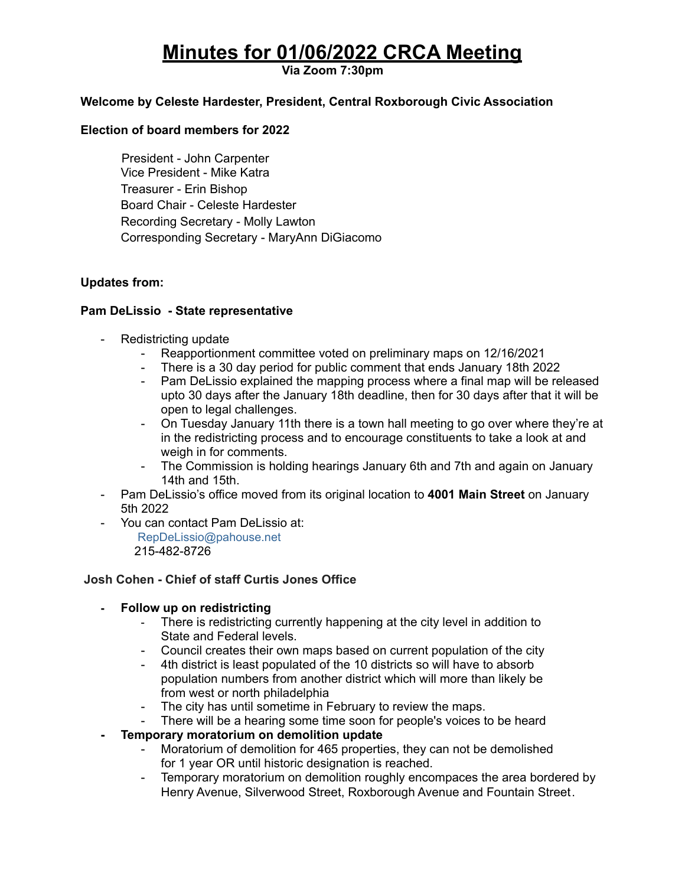# **Minutes for 01/06/2022 CRCA Meeting**

**Via Zoom 7:30pm**

# **Welcome by Celeste Hardester, President, Central Roxborough Civic Association**

## **Election of board members for 2022**

President - John Carpenter Vice President - Mike Katra Treasurer - Erin Bishop Board Chair - Celeste Hardester Recording Secretary - Molly Lawton Corresponding Secretary - MaryAnn DiGiacomo

## **Updates from:**

## **Pam DeLissio - State representative**

- Redistricting update
	- Reapportionment committee voted on preliminary maps on 12/16/2021
	- There is a 30 day period for public comment that ends January 18th 2022
	- Pam DeLissio explained the mapping process where a final map will be released upto 30 days after the January 18th deadline, then for 30 days after that it will be open to legal challenges.
	- On Tuesday January 11th there is a town hall meeting to go over where they're at in the redistricting process and to encourage constituents to take a look at and weigh in for comments.
	- The Commission is holding hearings January 6th and 7th and again on January 14th and 15th.
- Pam DeLissio's office moved from its original location to **4001 Main Street** on January 5th 2022
- You can contact Pam DeLissio at:

RepDeLissio@pahouse.net 215-482-8726

# **Josh Cohen - Chief of staff Curtis Jones Office**

#### **- Follow up on redistricting**

- There is redistricting currently happening at the city level in addition to State and Federal levels.
- Council creates their own maps based on current population of the city
- 4th district is least populated of the 10 districts so will have to absorb population numbers from another district which will more than likely be from west or north philadelphia
- The city has until sometime in February to review the maps.
- There will be a hearing some time soon for people's voices to be heard
- **- Temporary moratorium on demolition update**
	- Moratorium of demolition for 465 properties, they can not be demolished for 1 year OR until historic designation is reached.
	- Temporary moratorium on demolition roughly encompaces the area bordered by Henry Avenue, Silverwood Street, Roxborough Avenue and Fountain Street.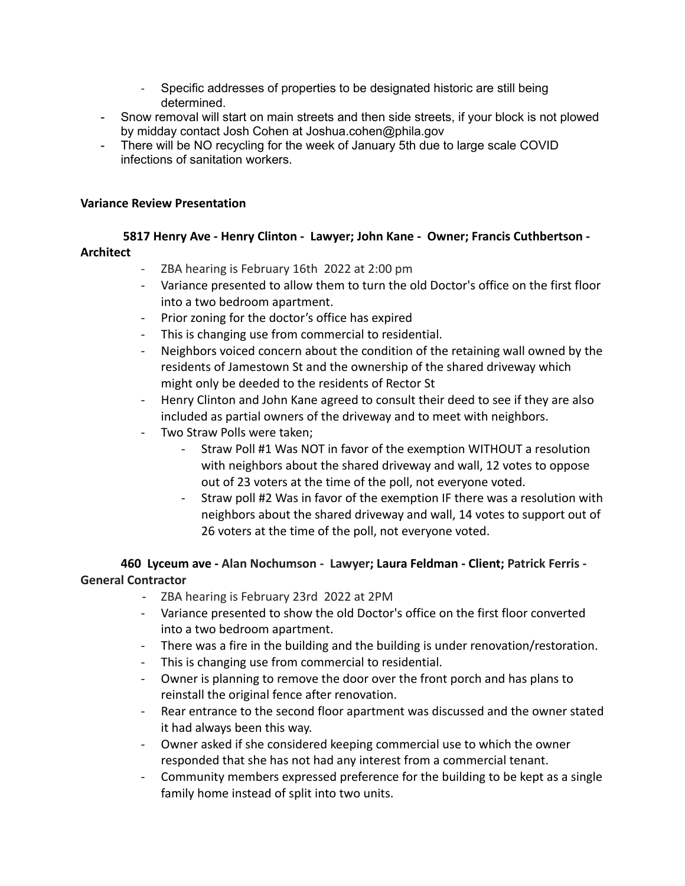- Specific addresses of properties to be designated historic are still being determined.
- Snow removal will start on main streets and then side streets, if your block is not plowed by midday contact Josh Cohen at Joshua.cohen@phila.gov
- There will be NO recycling for the week of January 5th due to large scale COVID infections of sanitation workers.

# **Variance Review Presentation**

**5817 Henry Ave - Henry Clinton - Lawyer; John Kane - Owner; Francis Cuthbertson - Architect**

- ZBA hearing is February 16th 2022 at 2:00 pm
- Variance presented to allow them to turn the old Doctor's office on the first floor into a two bedroom apartment.
- Prior zoning for the doctor's office has expired
- This is changing use from commercial to residential.
- Neighbors voiced concern about the condition of the retaining wall owned by the residents of Jamestown St and the ownership of the shared driveway which might only be deeded to the residents of Rector St
- Henry Clinton and John Kane agreed to consult their deed to see if they are also included as partial owners of the driveway and to meet with neighbors.
- Two Straw Polls were taken;
	- Straw Poll #1 Was NOT in favor of the exemption WITHOUT a resolution with neighbors about the shared driveway and wall, 12 votes to oppose out of 23 voters at the time of the poll, not everyone voted.
	- Straw poll #2 Was in favor of the exemption IF there was a resolution with neighbors about the shared driveway and wall, 14 votes to support out of 26 voters at the time of the poll, not everyone voted.

**460 Lyceum ave - Alan Nochumson - Lawyer; Laura Feldman - Client; Patrick Ferris - General Contractor**

- ZBA hearing is February 23rd 2022 at 2PM
- Variance presented to show the old Doctor's office on the first floor converted into a two bedroom apartment.
- There was a fire in the building and the building is under renovation/restoration.
- This is changing use from commercial to residential.
- Owner is planning to remove the door over the front porch and has plans to reinstall the original fence after renovation.
- Rear entrance to the second floor apartment was discussed and the owner stated it had always been this way.
- Owner asked if she considered keeping commercial use to which the owner responded that she has not had any interest from a commercial tenant.
- Community members expressed preference for the building to be kept as a single family home instead of split into two units.